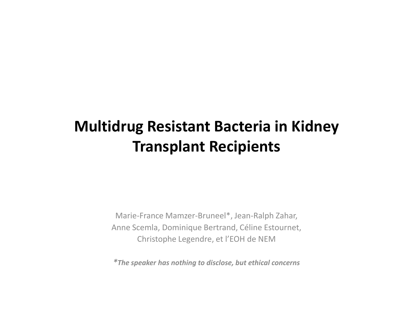### **Multidrug Resistant Bacteria in Kidney Transplant Recipients**

Marie-France Mamzer-Bruneel\*, Jean-Ralph Zahar, Anne Scemla, Dominique Bertrand, Céline Estournet, Christophe Legendre, et l'EOH de NEM

*\*The speaker has nothing to disclose, but ethical concerns*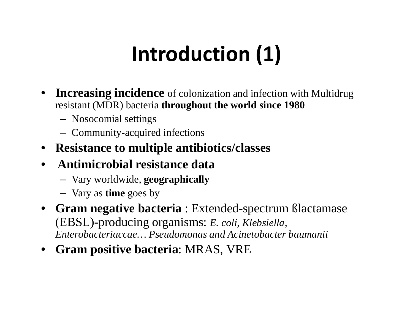# **Introduction (1)**

- $\bullet$ **Increasing incidence** of colonization and infection with Multidrug resistant (MDR) bacteria **throughout the world since 1980**
	- Nosocomial settings
	- Community-acquired infections
- **Resistance to multiple antibiotics/classes**
- **Antimicrobial resistance data**
	- Vary worldwide, **geographically**
	- Vary as **time** goes by
- • **Gram negative bacteria** : Extended-spectrum ßlactamase (EBSL)-producing organisms: *E. coli, Klebsiella, Enterobacteriaccae… Pseudomonas and Acinetobacter baumanii*
- **Gram positive bacteria**: MRAS, VRE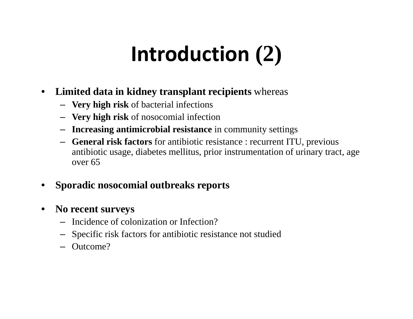# **Introduction (2)**

- $\bullet$  **Limited data in kidney transplant recipients** whereas
	- **Very high risk** of bacterial infections
	- **Very high risk** of nosocomial infection
	- **Increasing antimicrobial resistance** in community settings
	- **General risk factors** for antibiotic resistance : recurrent ITU, previous antibiotic usage, diabetes mellitus, prior instrumentation of urinary tract, age over 65
- •**Sporadic nosocomial outbreaks reports**
- $\bullet$  **No recent surveys**
	- Incidence of colonization or Infection?
	- Specific risk factors for antibiotic resistance not studied
	- Outcome?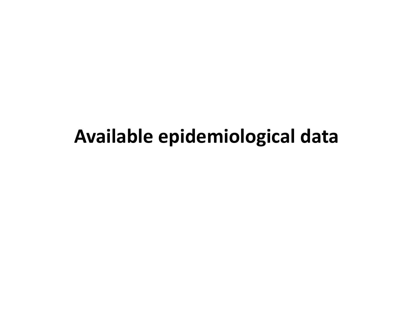## **Available epidemiological data**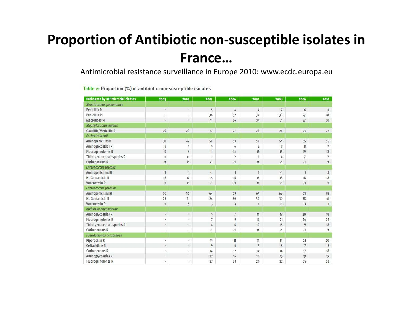### **Proportion of Antibiotic non-susceptible isolates in France…**

Antimicrobial resistance surveillance in Europe 2010: www.ecdc.europa.eu

| Pathogens by antimicrobial classes | 2003                     | 2004           | 2005                    | 2006           | 2007           | 2008           | 2009                     | 2010           |
|------------------------------------|--------------------------|----------------|-------------------------|----------------|----------------|----------------|--------------------------|----------------|
| Streptococcus pneumoniae           |                          |                |                         |                |                |                |                          |                |
| Penicillin R                       | ù,                       | a.             | $\overline{5}$          | 4              | 4              | $\overline{7}$ | $6\phantom{.}6$          | (1)            |
| Penicillin Ri                      | $\overline{\phantom{a}}$ | $\bullet$      | 36                      | 32             | 34             | 30             | 27                       | 28             |
| Macrolldes RI                      | $\scriptstyle\star$      | ÷.             | 41                      | 36             | 37             | 31             | 27                       | 30             |
| Staphylococaus aureus              |                          |                |                         |                |                |                |                          |                |
| Oxacillin/Meticillin R             | 29                       | 29             | 27                      | 27             | 26             | 24             | 23                       | 22             |
| Escherichia coli                   |                          |                |                         |                |                |                |                          |                |
| Aminopenicilins R                  | 50                       | 47             | 50                      | 53             | 54             | 54             | 55                       | 55             |
| Aminoglycosides R                  | 5                        | $\overline{4}$ | 5                       | $\overline{6}$ | 6              | $\overline{7}$ | 8                        | $\overline{7}$ |
| <b>Fluoroguinolones R</b>          | 9                        | 8              | 11                      | 14             | 15             | 16             | 19                       | 18             |
| Third-gen. cephalosporins R        | $\langle 1$              | $\langle 1$    | $\mathbf{1}$            | $\overline{2}$ | $\overline{2}$ | 4              | $\overline{\phantom{a}}$ | $\overline{7}$ |
| Carbapenems R                      | $\langle 1$              | (1)            | (1)                     | $\langle 1$    | $\langle 1$    | $\langle 1$    | $\langle 1$              | (1)            |
| Enterococcus faecalis              |                          |                |                         |                |                |                |                          |                |
| <b>Aminopenicilins RI</b>          | 3                        | $\overline{1}$ | $\overline{1}$          | $\mathbf{1}$   | $\mathbf{1}$   | $\langle 1$    | $\mathbf{1}$             | (1)            |
| <b>HL</b> Gentamicin R             | 16                       | 17             | 15                      | 16             | 15             | 18             | 18                       | 18             |
| Vancomycin R                       | (1)                      | $\alpha$       | $\epsilon$ 1            | (1)            | (1)            | (1)            | (1)                      | (1)            |
| Enterococcus faecium               |                          |                |                         |                |                |                |                          |                |
| Aminopenicilins RI                 | 30                       | 56             | 64                      | 69             | 67             | 68             | 63                       | 78             |
| <b>HL Gentamicin R</b>             | 23                       | 21             | 24                      | 30             | 30             | 30             | 38                       | 41             |
| Vancomycin R                       | $\langle 1$              | 5              | $\overline{\mathbf{3}}$ | 3              | $\mathbf{1}$   | $\langle 1$    | (1)                      | $\mathbf{1}$   |
| Klebsiella pneumoniae              |                          |                |                         |                |                |                |                          |                |
| Aminoglycosides R                  | $\blacksquare$           | $\bullet$      | 5                       | $\overline{7}$ | 11             | 17             | 20                       | 18             |
| <b>Fluoroguinolones R</b>          | ٠                        | ×.             | $\overline{7}$          | 9              | 14             | 21             | 24                       | 22             |
| Third-gen. cephalosporins R        | ÷                        | $\alpha$       | 4                       | 6              | 10             | 15             | 19                       | 18             |
| Carbapenems R                      | $\epsilon$               | $\bullet$      | $\langle 1$             | $\langle 1$    | $\langle 1$    | $\langle 1$    | $\langle 1$              | $\langle 1$    |
| Pseudomonas aeruginosa             |                          |                |                         |                |                |                |                          |                |
| Piperacillin R                     | é.                       | ä,             | 15                      | 11             | 11             | 14             | 21                       | 20             |
| Ceftazidime R                      | ×                        | $\sim$         | $\overline{9}$          | 6              | $\overline{7}$ | 8              | 17                       | 13             |
| Carbapenems R                      | ×,                       | ٠              | 14                      | 12             | 14             | 14             | 17                       | 18             |
| Aminoglycosides R                  | ۰                        | $\omega$       | 22                      | 16             | 18             | 15             | 19                       | 19             |
| <b>Fluoroguinolones R</b>          | ×.                       | $\bullet$      | 27                      | 23             | 24             | 22             | 25                       | 23             |

Table 2: Proportion (%) of antibiotic non-susceptible isolates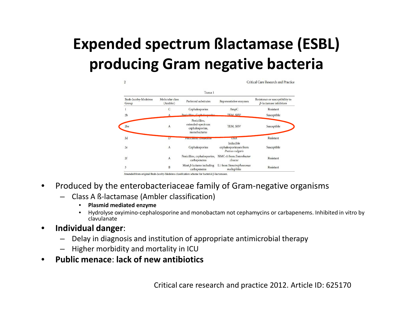## **Expended spectrum ßlactamase (ESBL) producing Gram negative bacteria**

| TABLE 1                       |                             |                                                                     |                                                         |                                                                  |  |  |  |  |
|-------------------------------|-----------------------------|---------------------------------------------------------------------|---------------------------------------------------------|------------------------------------------------------------------|--|--|--|--|
| Bush-Jacoby-Medeiros<br>Group | Molecular class<br>(Ambler) | Preferred substrates                                                | Representative enzymes                                  | Resistance or susceptibility to<br>$\beta$ -lactamase inhibitors |  |  |  |  |
| Cephalosporins                |                             | AmpC                                                                | Resistant                                               |                                                                  |  |  |  |  |
| 2 <sub>b</sub>                |                             | Penicilline Caphalacparine                                          | <b>TEM SHV</b>                                          | Susceptible                                                      |  |  |  |  |
| 2be                           | $\mathbf{A}$                | Penicillins,<br>extended-spectrum<br>cephalosporins,<br>monobactams | TEM, SHV                                                | Susceptible                                                      |  |  |  |  |
| 2d                            | D                           | <b>INSTITUTION CONSUMING</b>                                        | <b>UAA</b>                                              | Resistant                                                        |  |  |  |  |
| 2e                            | $\mathbf{A}$                | Cephalosporins                                                      | Inducible<br>cephalosporinases from<br>Proteus vulgaris | Susceptible                                                      |  |  |  |  |
| 2f                            | $\overline{A}$              | Penicillins, cephalosporins,<br>carbapenems                         | NMC-A from Enterobacter<br>cloacae                      | Resistant                                                        |  |  |  |  |
| $\overline{3}$                | B                           | Most $\beta$ -lactams including<br>carbapenems                      | L1 from Stenotrophomonas<br>maltophilia                 | Resistant                                                        |  |  |  |  |

mended from original Bush-Jacoby-Medeiros classification scheme for bacterial  $\beta$ -lactamase

- $\bullet$  Produced by the enterobacteriaceae family of Gram-negative organisms
	- Class A ß-lactamase (Ambler classification)
		- •**Plasmid mediated enzyme**
		- Hydrolyse oxyimino-cephalosporine and monobactam not cephamycins or carbapenems. Inhibited in vitro by•clavulanate
- $\bullet$  **Individual danger**:
	- Delay in diagnosis and institution of appropriate antimicrobial therapy
	- Higher morbidity and mortality in ICU
- **Public menace**: **lack of new antibiotics** $\bullet$

Critical care research and practice 2012. Article ID: 625170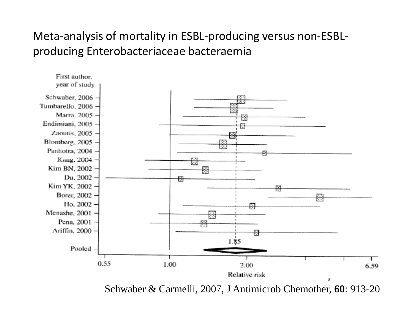### Meta-analysis of mortality in ESBL-producing versus non-ESBLproducing Enterobacteriaceae bacteraemia



Schwaber & Carmelli, 2007, J Antimicrob Chemother, **60**: 913-20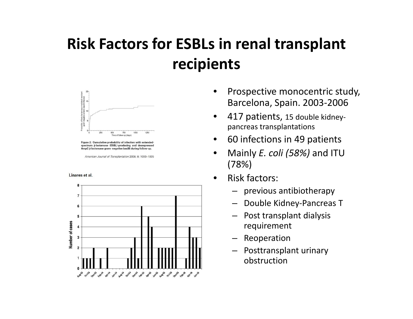### **Risk Factors for ESBLs in renal transplant recipients**



Figure 2: Cumulative probability of infection with extended spectrum β-lactamase (ESBL)-producing and desrepressed AmpC B-lactamase gram- negative bacilli during follow-up

American Journal of Transplantation 2008; 8: 1000-1005

#### Linares et al.



- • Prospective monocentric study, Barcelona, Spain. 2003-2006
- • 417 patients, 15 double kidneypancreas transplantations
- •60 infections in 49 patients
- $\bullet$  Mainly *E. coli (58%)* and ITU (78%)
- • Risk factors:
	- previous antibiotherapy
	- Double Kidney-Pancreas T
	- Post transplant dialysis requirement
	- Reoperation
	- Posttransplant urinary obstruction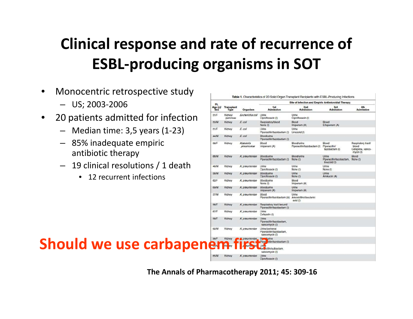## **Clinical response and rate of recurrence of ESBL-producing organisms in SOT**

- • Monocentric retrospective study
	- US; 2003-2006
- • 20 patients admitted for infection
	- Median time: 3,5 years (1-23)
	- 85% inadequate empiric antibiotic therapy
	- 19 clinical resolutions / 1 death
		- 12 recurrent infections

|  |                                              |                 |                           |                                 | Table 1. Characteristics of 20 Solid Organ Transplant Recipients with ESBL-Producing Infections |                                             |                                                    |                                                                |  |
|--|----------------------------------------------|-----------------|---------------------------|---------------------------------|-------------------------------------------------------------------------------------------------|---------------------------------------------|----------------------------------------------------|----------------------------------------------------------------|--|
|  | $-$ US; 2003-2006                            | Pt.             |                           |                                 | <b>Site of infection and Empiric Antimicrobial Therapy</b>                                      |                                             |                                                    |                                                                |  |
|  |                                              | Age (y)/<br>Sex | <b>Transplant</b><br>Type | Organism                        | 1st<br><b>Admission</b>                                                                         | 2nd<br>Admission                            | 3rd<br>Admission                                   | 4th<br>Admission                                               |  |
|  | 20 patients admitted for infection           | 31/F            | Kidney/<br>pancreas       | Escherichia coli Urine          | Ciprofloxacin (I)                                                                               | Urine<br>Ciprofloxacin (I)                  |                                                    |                                                                |  |
|  |                                              | 50/M            | Kidney                    | E coli                          | Respiratory/blood<br>None (i)                                                                   | Blood<br>Imipenem (A)                       | Blood<br>Ertapenem (A)                             |                                                                |  |
|  | Median time: $3.5$ years $(1-23)$            | 51/F            | Kidney                    | E coli                          | Urine<br>Piperacillin/tazobactam (I)                                                            | Urine<br>Linezolid (I)                      |                                                    |                                                                |  |
|  |                                              | 44/M            | Kidney                    | $E$ coli                        | Blood/urine<br>Piperacillin/tazobactam (I)                                                      |                                             |                                                    |                                                                |  |
|  | 85% inadequate empiric<br>antibiotic therapy | 58/F            | Kidney                    | <b>Klabsiella</b><br>pneumoniae | Blood<br>Imipenem (A)                                                                           | Blood/urine<br>Piperacillin/tazobactam (I)  | Blood<br>Piperacillin/<br>tazobactam (I)           | Respiratory tract/<br>blood<br>Cefepime, vanco-<br>$mycin$ (I) |  |
|  |                                              | 66/M            | Kidney                    | K pneumoniae                    | Blood/urine<br>Piperacillin/tazobactam (I)                                                      | Blood/urine<br>None (I)                     | Urine<br>Piperacillin/tazobactam.<br>linezolid (I) | Blood<br>None (I)                                              |  |
|  | - 19 clinical resolutions / 1 death          | 46/M            | Kidney                    | K pneumoniae                    | Urine<br>Ciprofloxacin (I)                                                                      | Urine<br>None (I)                           | Urine<br>None (I)                                  |                                                                |  |
|  | • 12 recurrent infections                    | 56/M            | Kidney                    | K pneumoniae                    | Blood/urine<br>Ciprofloxacin (I)                                                                | Urine<br>None (I)                           | Urine<br>Amikacin (A)                              |                                                                |  |
|  |                                              | 62/F            | Kidney                    | K pneumoniae                    | Blood/urine<br>None (I)                                                                         | Blood<br>Imipenem (A)                       |                                                    |                                                                |  |
|  |                                              | 69/M            | Kidney                    | K pneumoniae                    | Blood/urine<br>Imipenem (A)                                                                     | Urine<br>Imipenem (A)                       |                                                    |                                                                |  |
|  |                                              | 37/M            | Kidney                    | K pneumoniae                    | Blood<br>Piperacillin/tazobactam (A)                                                            | Urine<br>Amoxicillin/clavulanic<br>acid (I) |                                                    |                                                                |  |
|  |                                              | 56/F            | Kidney                    | K pneumoniae                    | Respiratory tract /wound<br>Piperacillin/tazobactam (I)                                         |                                             |                                                    |                                                                |  |
|  |                                              | 67/F            | Kidney                    | K pneumoniae                    | Urine<br>Cefazolin (I)                                                                          |                                             |                                                    |                                                                |  |
|  |                                              | 58/F            | Kidney                    | <i><b>K</b></i> preumoniae      | Urine<br>Piperacillin/tazobactam.<br>vancomycin (I)                                             |                                             |                                                    |                                                                |  |
|  |                                              | 62/M            | Kidney                    | K pneumoniae                    | Urine/perirenal<br>Piperacillin/tazobactam,<br>vancomycin (I)                                   |                                             |                                                    |                                                                |  |
|  |                                              | 56/F            | Kidney                    | <b>A</b> pneumoniae             | Bland/urine<br>Piper dilin/tazobactam (I)                                                       |                                             |                                                    |                                                                |  |
|  | <b>Should we use carbapener</b>              |                 |                           |                                 | Urit<br>Am cillin/sulbactam.<br>vancomvcin (I)                                                  |                                             |                                                    |                                                                |  |
|  |                                              | 65/M            | Kidney                    | K pneumoniae                    | Urine<br>Cinroflovacin (I)                                                                      |                                             |                                                    |                                                                |  |

**The Annals of Pharmacotherapy 2011; 45: 309-16**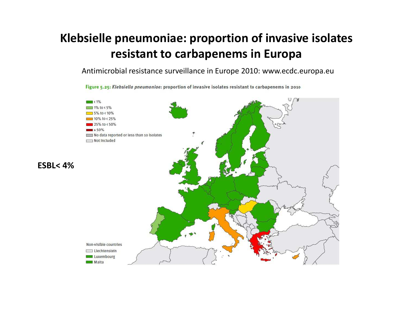### **Klebsielle pneumoniae: proportion of invasive isolates resistant to carbapenems in Europa**

Antimicrobial resistance surveillance in Europe 2010: www.ecdc.europa.eu

Figure 5.25: Klebsiella pneumoniae: proportion of invasive isolates resistant to carbapenems in 2010

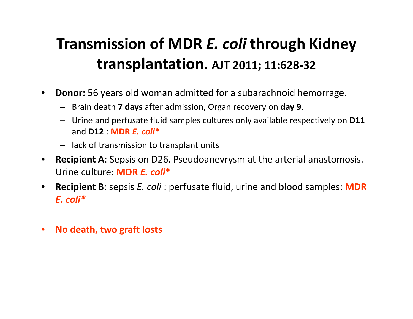### **Transmission of MDR** *E. coli* **through Kidney transplantation. AJT 2011; 11:628-32**

- $\bullet$  **Donor:** 56 years old woman admitted for a subarachnoid hemorrage.
	- Brain death **7 days** after admission, Organ recovery on **day 9**.
	- Urine and perfusate fluid samples cultures only available respectively on **D11** and **D12** : **MDR** *E. coli\**
	- lack of transmission to transplant units
- • **Recipient A**: Sepsis on D26. Pseudoanevrysm at the arterial anastomosis. Urine culture: **MDR** *E. coli***\***
- $\bullet$  **Recipient B**: sepsis *E. coli* : perfusate fluid, urine and blood samples: **MDR**  *E. coli\**
- $\bullet$ **No death, two graft losts**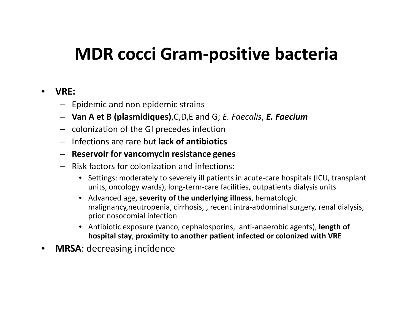## **MDR cocci Gram-positive bacteria**

#### $\bullet$ **VRE:**

- Epidemic and non epidemic strains
- **Van A et B (plasmidiques)**,C,D,E and G; *E. Faecalis*, *E. Faecium*
- colonization of the GI precedes infection
- Infections are rare but **lack of antibiotics**
- **Reservoir for vancomycin resistance genes**
- Risk factors for colonization and infections:
	- Settings: moderately to severely ill patients in acute-care hospitals (ICU, transplant units, oncology wards), long-term-care facilities, outpatients dialysis units
	- Advanced age, **severity of the underlying illness**, hematologic malignancy,neutropenia, cirrhosis, , recent intra-abdominal surgery, renal dialysis, prior nosocomial infection
	- Antibiotic exposure (vanco, cephalosporins, anti-anaerobic agents), **length of hospital stay**, **proximity to another patient infected or colonized with VRE**
- •**MRSA**: decreasing incidence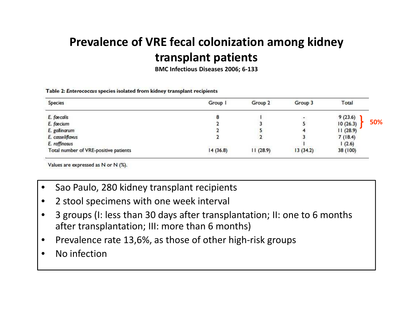### **Prevalence of VRE fecal colonization among kidney transplant patients**

**BMC Infectious Diseases 2006; 6-133**

| <b>Species</b>                        | Group    | Group <sub>2</sub> | Group 3                  | Total    |     |
|---------------------------------------|----------|--------------------|--------------------------|----------|-----|
| E. faecalis                           |          |                    | $\overline{\phantom{a}}$ | 9(23.6)  |     |
| E. faecium                            |          |                    |                          | 10(26.3) | 50% |
| E. gallinarum                         |          |                    |                          | 11(28.9) |     |
| E. casseliflavus                      |          |                    |                          | 7(18.4)  |     |
| E. raffinosus                         |          |                    |                          | 1(2.6)   |     |
| Total number of VRE-positive patients | 14(36.8) | 11(28.9)           | 13(34.2)                 | 38 (100) |     |

Table 2: Enterococcus species isolated from kidney transplant recipients

Values are expressed as N or N (%).

- •Sao Paulo, 280 kidney transplant recipients
- •2 stool specimens with one week interval
- • 3 groups (I: less than 30 days after transplantation; II: one to 6 months after transplantation; III: more than 6 months)
- •Prevalence rate 13,6%, as those of other high-risk groups
- •No infection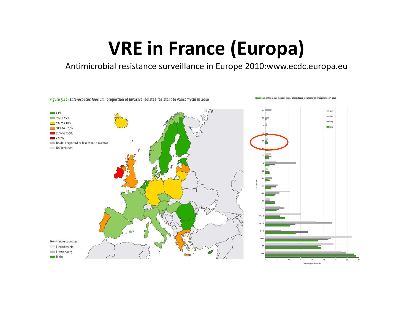## **VRE in France (Europa)**

Antimicrobial resistance surveillance in Europe 2010:www.ecdc.europa.eu

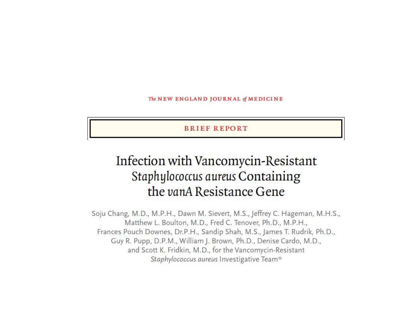The NEW ENGLAND JOURNAL of MEDICINE

**BRIEF REPORT** 

### Infection with Vancomycin-Resistant Staphylococcus aureus Containing the vanA Resistance Gene

Soju Chang, M.D., M.P.H., Dawn M. Sievert, M.S., Jeffrey C. Hageman, M.H.S., Matthew L. Boulton, M.D., Fred C. Tenover, Ph.D., M.P.H., Frances Pouch Downes, Dr.P.H., Sandip Shah, M.S., James T. Rudrik, Ph.D., Guy R. Pupp, D.P.M., William J. Brown, Ph.D., Denise Cardo, M.D., and Scott K. Fridkin, M.D., for the Vancomycin-Resistant Staphylococcus aureus Investigative Team\*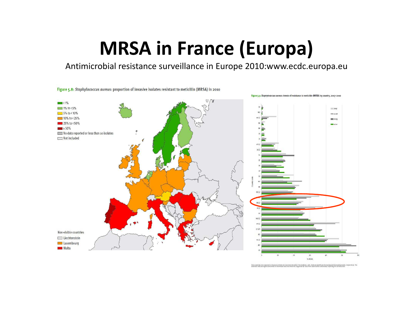## **MRSA in France (Europa)**

Antimicrobial resistance surveillance in Europe 2010:www.ecdc.europa.eu

Figure 5.8: Staphylococcus aureus: proportion of invasive isolates resistant to meticillin (MRSA) in 2010



% MRSA

Only controllers that imported are beatines or more per year were houded. The synthese seathly addition showling that decreasing awards, respectively. The<br>according indicate significant transit is one worth data track with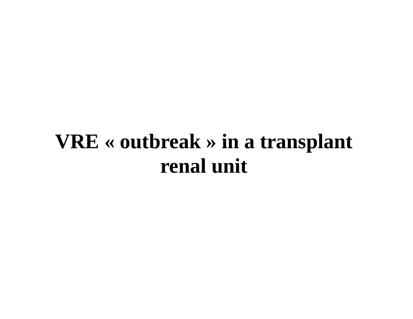## **VRE « outbreak » in a transplant renal unit**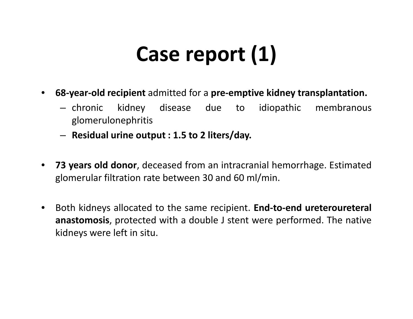# **Case report (1)**

- • **68-year-old recipient** admitted for <sup>a</sup> **pre-emptive kidney transplantation.**
	- chronic kidney disease due to idiopathic membranous glomerulonephritis
	- **Residual urine output : 1.5 to <sup>2</sup> liters/day.**
- $\bullet$ **73 years old donor**, deceased from an intracranial hemorrhage. Estimated<br>classes what filtration rate hetween 20 and 60 ml/min glomerular filtration rate between <sup>30</sup> and <sup>60</sup> ml/min.
- $\bullet$  Both kidneys allocated to the same recipient. **End-to-end ureteroureteral anastomosis**, protected with <sup>a</sup> double <sup>J</sup> stent were performed. The native kidneys were left in situ.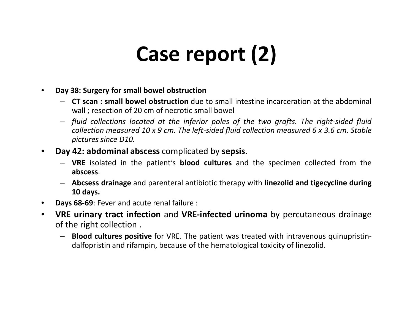# **Case report (2)**

- $\bullet$  **Day 38: Surgery for small bowel obstruction**
	- **CT scan : small bowel obstruction** due to small intestine incarceration at the abdominal wall ; resection of <sup>20</sup> cm of necrotic small bowel
	- *fluid collections located at the inferior poles of the two grafts. The right-sided fluid* collection measured 10 x 9 cm. The left-sided fluid collection measured 6 x 3.6 cm. Stable *pictures since D10.*
- • **Day 42: abdominal abscess** complicated by **sepsis**.
	- **VRE** isolated in the patient's **blood cultures** and the specimen collected from the **abscess**.
	- **Abcsess drainage** and parenteral antibiotic therapy with **linezolid and tigecycline during <sup>10</sup> days.**
- $\bullet$ **Days 68-69**: Fever and acute renal failure :
- $\bullet$  **VRE urinary tract infection** and **VRE-infected urinoma** by percutaneous drainage of the right collection .
	- **Blood cultures positive** for VRE. The patient was treated with intravenous quinupristindalfopristin and rifampin, because of the hematological toxicity of linezolid.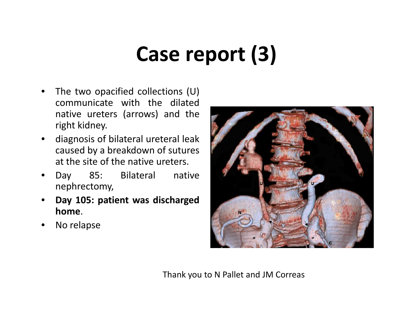# **Case report (3)**

- • The two opacified collections (U) communicate with the dilated native ureters (arrows) and the right kidney.
- $\bullet$  diagnosis of bilateral ureteral leak caused by <sup>a</sup> breakdown of sutures at the site of the native ureters.
- • Day 85: Bilateral native nephrectomy,
- • **Day 105: patient was dischargedhome**.
- •No relapse



Thank you to N Pallet and JM Correas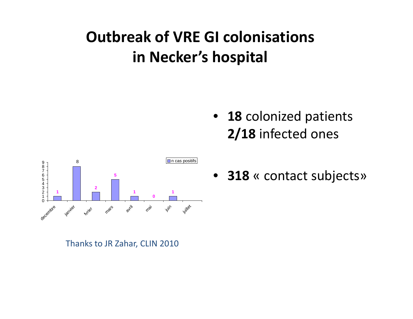### **Outbreak of VRE GI colonisations in Necker's hospital**





• **<sup>318</sup>** « contact subjects»

Thanks to JR Zahar, CLIN 2010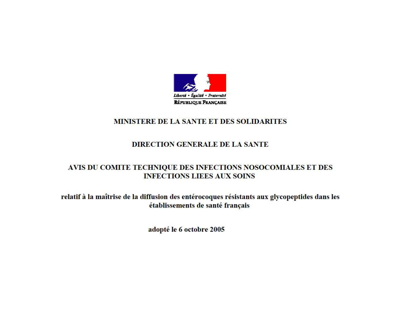

#### MINISTERE DE LA SANTE ET DES SOLIDARITES

#### **DIRECTION GENERALE DE LA SANTE**

#### AVIS DU COMITE TECHNIQUE DES INFECTIONS NOSOCOMIALES ET DES **INFECTIONS LIEES AUX SOINS**

relatif à la maîtrise de la diffusion des entérocoques résistants aux glycopeptides dans les établissements de santé français

adopté le 6 octobre 2005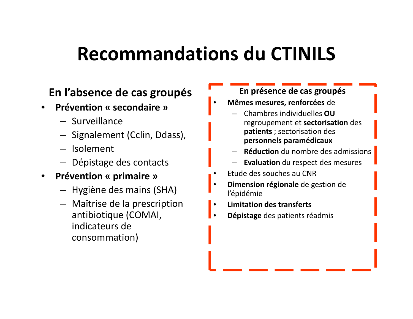## **Recommandations du CTINILS**

### **En l'absence de cas groupés**

- • **Prévention « secondaire »**
	- Surveillance
	- Signalement (Cclin, Ddass),
	- Isolement
	- Dépistage des contacts
- • **Prévention « primaire »** 
	- Hygiène des mains (SHA)
	- Maîtrise de la prescription antibiotique (COMAI, indicateurs de consommation)

### **En présence de cas groupés**

- • **Mêmes mesures, renforcées** de
	- Chambres individuelles **OU**  regroupement et **sectorisation** des **patients** ; sectorisation des **personnels paramédicaux**
	- **Réduction** du nombre des admissions
	- **Evaluation** du respect des mesures
- •Etude des souches au CNR
- **Dimension régionale** de gestion de •l'épidémie
- **Limitation des transferts**•
- •**Dépistage** des patients réadmis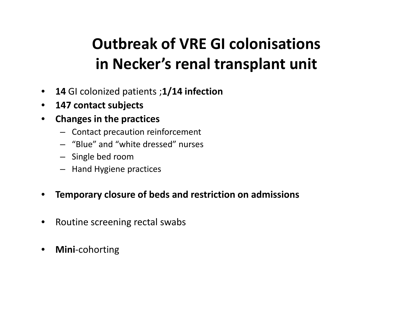### **Outbreak of VRE GI colonisations in Necker's renal transplant unit**

- $\bullet$ **<sup>14</sup>**GI colonized patients ;**1/14 infection**
- $\bullet$ **147 contact subjects**
- $\bullet$  **Changes in the practices**
	- Contact precaution reinforcement
	- "Blue" and "white dressed" nurses
	- Single bed room
	- Hand Hygiene practices

#### $\bullet$ **Temporary closure of beds and restriction on admissions**

- $\bullet$ Routine screening rectal swabs
- $\bullet$ **Mini**-cohorting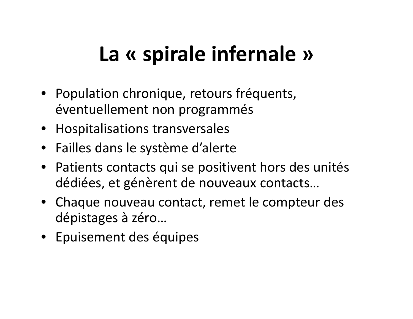# **La « spirale infernale »**

- Population chronique, retours fréquents, éventuellement non programmés
- Hospitalisations transversales
- Failles dans le système d'alerte
- Patients contacts qui se positivent hors des unitésdédiées, et génèrent de nouveaux contacts…
- Chaque nouveau contact, remet le compteur des dépistages à zéro…
- Epuisement des équipes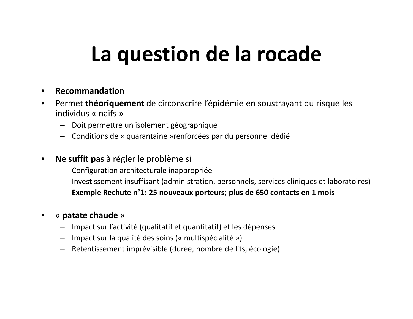## **La question de la rocade**

- $\bullet$ **Recommandation**
- Permet **théoriquement** de circonscrire l'épidémie en soustrayant du risque les  $\bullet$ individus « naïfs »
	- Doit permettre un isolement géographique
	- Conditions de « quarantaine »renforcées par du personnel dédié
- $\bullet$  **Ne suffit pas** à régler le problème si
	- Configuration architecturale inappropriée
	- Investissement insuffisant (administration, personnels, services cliniques et laboratoires)
	- **Exemple Rechute n°1: 25 nouveaux porteurs**; **plus de 650 contacts en 1 mois**
- •« **patate chaude** »
	- Impact sur l'activité (qualitatif et quantitatif) et les dépenses
	- Impact sur la qualité des soins (« multispécialité »)
	- Retentissement imprévisible (durée, nombre de lits, écologie)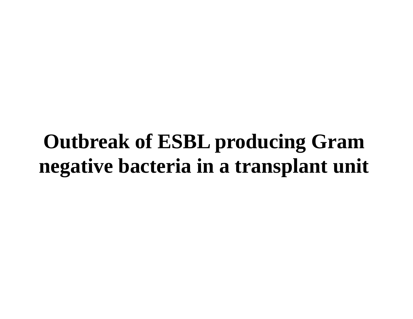## **Outbreak of ESBL producing Gram negative bacteria in a transplant unit**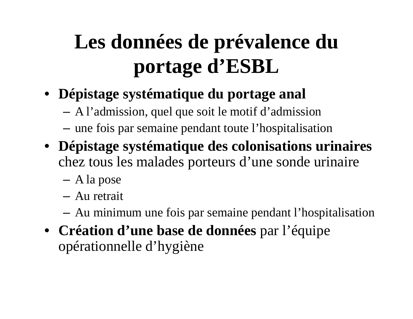# **Les données de prévalence du portage d'ESBL**

- **Dépistage systématique du portage anal**
	- A l'admission, quel que soit le motif d'admission
	- une fois par semaine pendant toute l'hospitalisation
- **Dépistage systématique des colonisations urinaires**chez tous les malades porteurs d'une sonde urinaire
	- A la pose
	- Au retrait
	- –Au minimum une fois par semaine pendant l'hospitalisation
- **Création d'une base de données** par l'équipe opérationnelle d'hygiène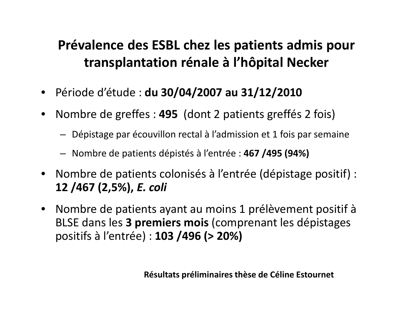### **Prévalence des ESBL chez les patients admis pour transplantation rénale à l'hôpital Necker**

- Période d'étude : **du 30/04/2007 au 31/12/2010**
- $\bullet$  Nombre de greffes : **495** (dont 2 patients greffés 2 fois)
	- Dépistage par écouvillon rectal à l'admission et 1 fois par semaine
	- Nombre de patients dépistés à l'entrée : **467 /495 (94%)**
- $\bullet$  Nombre de patients colonisés à l'entrée (dépistage positif) : **12 /467 (2,5%),** *E. coli*
- $\bullet$  Nombre de patients ayant au moins 1 prélèvement positif à BLSE dans les **3 premiers mois** (comprenant les dépistages positifs à l'entrée) : **103 /496 (> 20%)**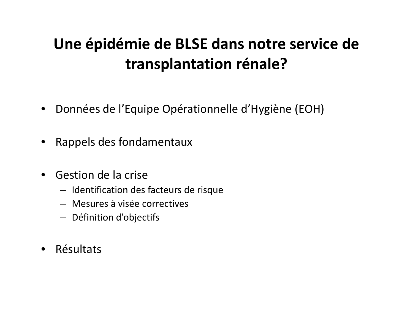### **Une épidémie de BLSE dans notre service de transplantation rénale?**

- •Données de l'Equipe Opérationnelle d'Hygiène (EOH)
- Rappels des fondamentaux
- Gestion de la crise
	- Identification des facteurs de risque
	- Mesures à visée correctives
	- Définition d'objectifs
- Résultats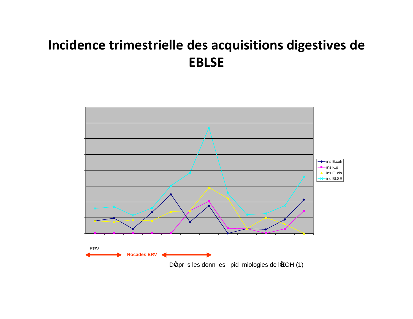### **Incidence trimestrielle des acquisitions digestives de EBLSE**

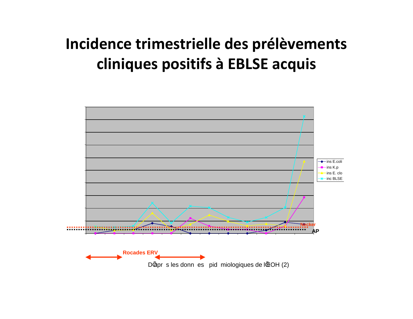### **Incidence trimestrielle des prélèvements cliniques positifs à EBLSE acquis**

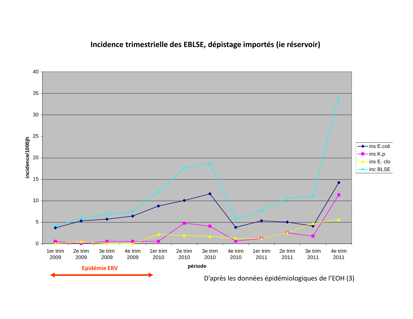#### **Incidence trimestrielle des EBLSE, dépistage importés (ie réservoir)**

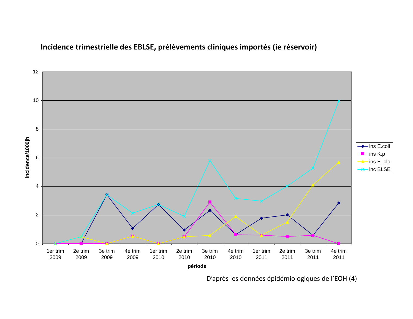

#### **Cliniques importésIncidence trimestrielle des EBLSE, prélèvements cliniques importés (ie réservoir)**

D'après les données épidémiologiques de l'EOH (4)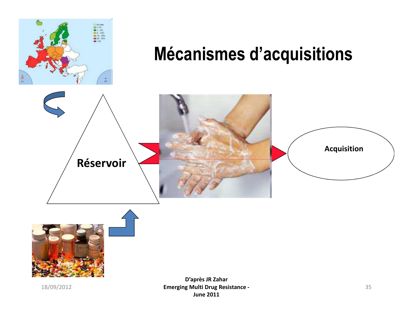

## **Mécanismes d'acquisitions**





18/09/2012

 <sup>35</sup> **Emerging Multi Drug Resistance -D'après JR ZaharJune 2011**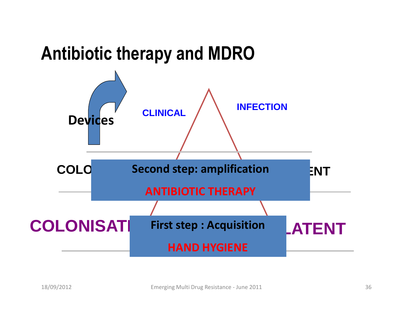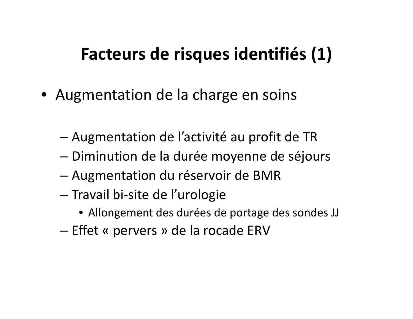## **Facteurs de risques identifiés (1)**

- Augmentation de la charge en soins
	- –Augmentation de l'activité au profit de TR
	- –Diminution de la durée moyenne de séjours
	- –Augmentation du réservoir de BMR
	- Travail bi-site de l'urologie
		- Allongement des durées de portage des sondes JJ
	- – $-$  Effet « pervers » de la rocade ERV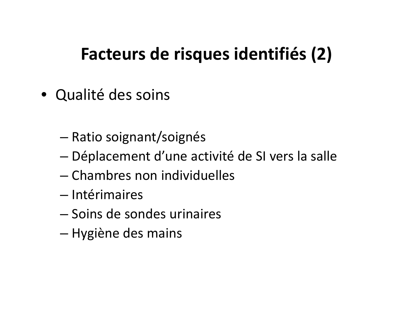## **Facteurs de risques identifiés (2)**

- Qualité des soins
	- –— Ratio soignant/soignés
	- –Déplacement d'une activité de SI vers la salle
	- – $-$  Chambres non individuelles
	- Intérimaires
	- – $-$  Soins de sondes urinaires
	- –— Hygiène des mains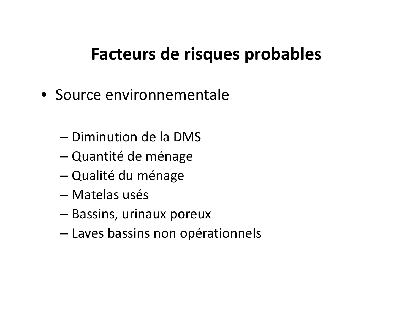## **Facteurs de risques probables**

- Source environnementale
	- – $-$  Diminution de la DMS
	- –Quantité de ménage
	- –— Qualité du ménage
	- Matelas usés
	- –— Bassins, urinaux poreux
	- –Laves bassins non opérationnels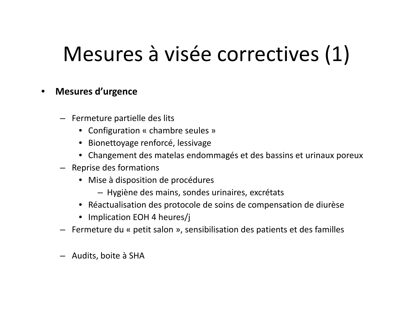# Mesures à visée correctives (1)

#### $\bullet$ **Mesures d'urgence**

- Fermeture partielle des lits
	- Configuration « chambre seules »
	- Bionettoyage renforcé, lessivage
	- Changement des matelas endommagés et des bassins et urinaux poreux
- Reprise des formations
	- Mise à disposition de procédures
		- Hygiène des mains, sondes urinaires, excrétats
	- Réactualisation des protocole de soins de compensation de diurèse
	- Implication EOH 4 heures/j
- Fermeture du « petit salon », sensibilisation des patients et des familles
- Audits, boite à SHA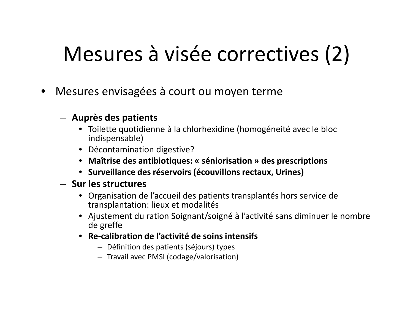# Mesures à visée correctives (2)

•Mesures envisagées à court ou moyen terme

### – **Auprès des patients**

- Toilette quotidienne à la chlorhexidine (homogéneité avec le bloc indispensable)
- Décontamination digestive?
- **Maîtrise des antibiotiques: « séniorisation » des prescriptions**
- **Surveillance des réservoirs (écouvillons rectaux, Urines)**

### – **Sur les structures**

- Organisation de l'accueil des patients transplantés hors service de transplantation: lieux et modalités
- Ajustement du ration Soignant/soigné à l'activité sans diminuer le nombre de greffe
- **Re-calibration de l'activité de soins intensifs**
	- Définition des patients (séjours) types
	- Travail avec PMSI (codage/valorisation)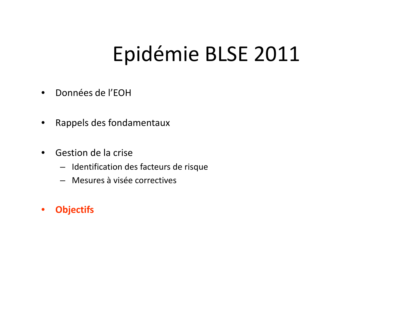## Epidémie BLSE 2011

- •Données de l'EOH
- $\bullet$ Rappels des fondamentaux
- • Gestion de la crise
	- Identification des facteurs de risque
	- Mesures à visée correctives
- •**Objectifs**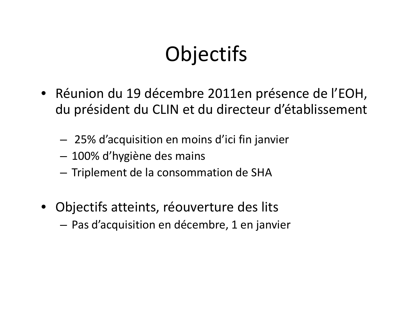# **Objectifs**

- Réunion du 19 décembre 2011en présence de l'EOH, du président du CLIN et du directeur d'établissement
	- 25% d'acquisition en moins d'ici fin janvier
	- 100% d'hygiène des mains
	- – $-$  Triplement de la consommation de SHA
- Objectifs atteints, réouverture des lits
	- Pas d'acquisition en décembre, 1 en janvier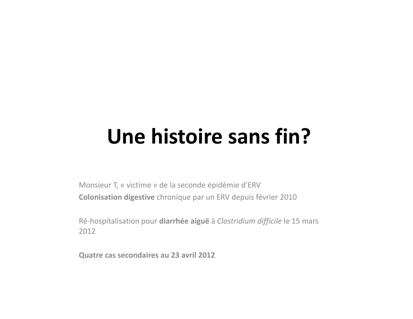## **Une histoire sans fin?**

Monsieur T, « victime » de la seconde épidémie d'ERV**Colonisation digestive** chronique par un ERV depuis février 2010

Ré-hospitalisation pour **diarrhée aiguë** <sup>à</sup>*Clostridium difficile* le 15 mars 2012

**Quatre cas secondaires au 23 avril 2012**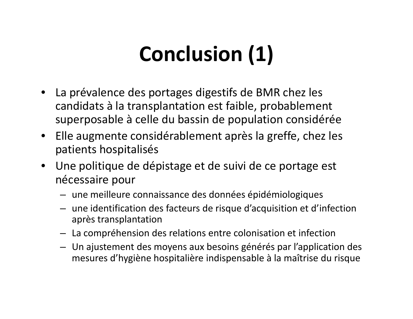# **Conclusion (1)**

- La prévalence des portages digestifs de BMR chez les candidats à la transplantation est faible, probablement superposable à celle du bassin de population considérée
- $\bullet$  Elle augmente considérablement après la greffe, chez les patients hospitalisés
- Une politique de dépistage et de suivi de ce portage est nécessaire pour
	- une meilleure connaissance des données épidémiologiques
	- une identification des facteurs de risque d'acquisition et d'infection après transplantation
	- La compréhension des relations entre colonisation et infection
	- Un ajustement des moyens aux besoins générés par l'application des mesures d'hygiène hospitalière indispensable à la maîtrise du risque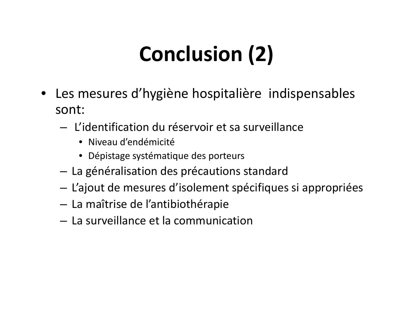# **Conclusion (2)**

- Les mesures d'hygiène hospitalière indispensables sont:
	- – $-$  L'identification du réservoir et sa surveillance
		- Niveau d'endémicité
		- Dépistage systématique des porteurs
	- $-$  La généralisation des précautions standard
	- $-$  L'ajout de mesures d'isolement spécifiques si appropriées
	- – $-$  La maîtrise de l'antibiothérapie
	- $-$  La surveillance et la communication